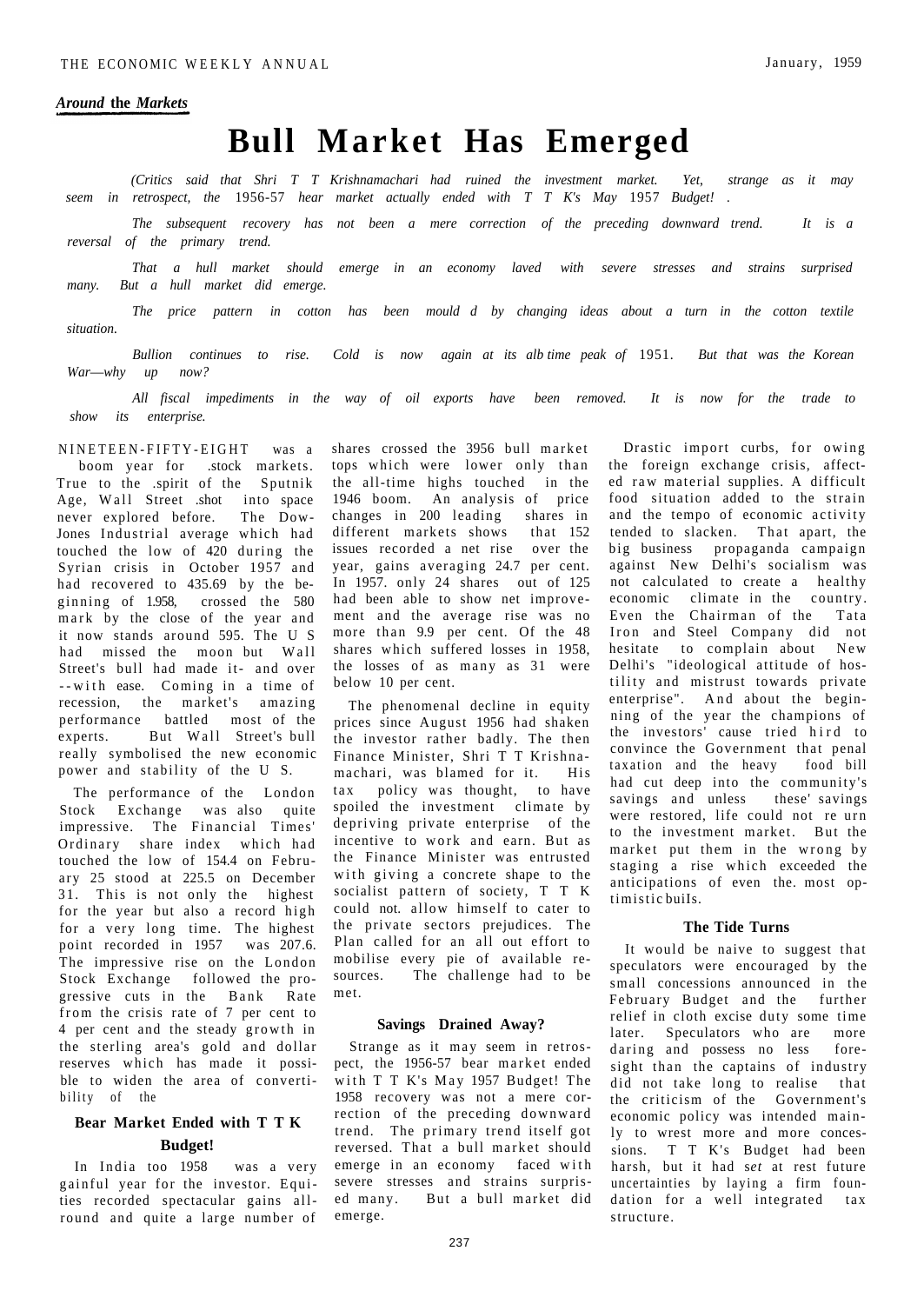# **Bull Market Has Emerged**

*(Critics said that Shri T T Krishnamachari had ruined the investment market. Yet*, *strange as it may seem in retrospect, the* 1956-57 *hear market actually ended with T T K's May* 1957 *Budget! .* 

*The subsequent recovery has not been a mere correction of the preceding downward trend. It is a reversal of the primary trend.* 

*That a hull market should emerge in an economy laved with severe stresses and strains surprised many. But a hull market did emerge.* 

*The price pattern in cotton has been mould d by changing ideas about a turn in the cotton textile situation.* 

*Bullion continues to rise. Cold is now again at its alb time peak of* 1951. *But that was the Korean War*—*why up now?* 

*All fiscal impediments in the way of oil exports have been removed. It is now for the trade to show its enterprise.* 

NINETEEN-FIFTY-EIGHT was a boom year for .stock markets. True to the .spirit of the Sputnik Age, Wall Street .shot into space never explored before. The Dow-Jones Industrial average which had touched the low of 420 during the Syrian crisis in October 1957 and had recovered to 435.69 by the be-<br>ginning of 1.958, crossed the 580 ginning of  $1.958$ , mark by the close of the year and it now stands around 595. The U S had missed the moon but Wall Street's bull had made it- and over --with ease. Coming in a time of recession, the market's amazing performance battled most of the experts. But Wall Street's bull really symbolised the new economic power and stability of the U S.

The performance of the London Stock Exchange was also quite impressive. The Financial Times' Ordinary share index which had touched the low of 154.4 on February 25 stood at 225.5 on December 31. This is not only the highest for the year but also a record high for a very long time. The highest point recorded in 1957 was 207.6. The impressive rise on the London Stock Exchange followed the progressive cuts in the Bank Rate from the crisis rate of 7 per cent to 4 per cent and the steady growth in the sterling area's gold and dollar reserves which has made it possible to widen the area of convertibility of the

# **Bear Market Ended with T T K Budget!**

In India too 1958 was a very gainful year for the investor. Equities recorded spectacular gains allround and quite a large number of shares crossed the 3956 bull market tops which were lower only than the all-time highs touched in the 1946 boom. An analysis of price changes in 200 leading shares in different markets shows that 152 issues recorded a net rise over the year, gains averaging 24.7 per cent. In 1957. only 24 shares out of 125 had been able to show net improvement and the average rise was no more than 9.9 per cent. Of the 48 shares which suffered losses in 1958, the losses of as many as 31 were below 10 per cent.

The phenomenal decline in equity prices since August 1956 had shaken the investor rather badly. The then Finance Minister, Shri T T Krishna machari, was blamed for it. His tax policy was thought, to have spoiled the investment climate by depriving private enterprise of the incentive to work and earn. But as the Finance Minister was entrusted with giving a concrete shape to the socialist pattern of society, T T K could not. allow himself to cater to the private sectors prejudices. The Plan called for an all out effort to mobilise every pie of available resources. The challenge had to be met.

#### **Savings Drained Away?**

Strange as it may seem in retrospect, the 1956-57 bear market ended with T T K's May 1957 Budget! The 1958 recovery was not a mere correction of the preceding downward trend. The primary trend itself got reversed. That a bull market should emerge in an economy faced with severe stresses and strains surprised many. But a bull market did emerge.

Drastic import curbs, for owing the foreign exchange crisis, affected raw material supplies. A difficult food situation added to the strain and the tempo of economic activity tended to slacken. That apart, the b ig business propaganda campaign against New Delhi's socialism was not calculated to create a healthy economic climate in the country. Even the Chairman of the Tata Iron and Steel Company did not hesitate to complain about New Delhi's "ideological attitude of hostility and mistrust towards private enterprise". And about the beginning of the year the champions of the investors' cause tried hird to convince the Government that penal taxation and the heavy food bill had cut deep into the community's savings and unless these' savings were restored, life could not re urn to the investment market. But the market put them in the wrong by staging a rise which exceeded the anticipations of even the. most optimistic buiIs.

## **The Tide Turns**

It would be naive to suggest that speculators were encouraged by the small concessions announced in the February Budget and the further relief in cloth excise duty some time later. Speculators who are more daring and possess no less foresight than the captains of industry did not take long to realise that the criticism of the Government's economic policy was intended mainly to wrest more and more concessions. T T K's Budget had been harsh, but it had s*et* at rest future uncertainties by laying a firm foundation for a well integrated tax structure.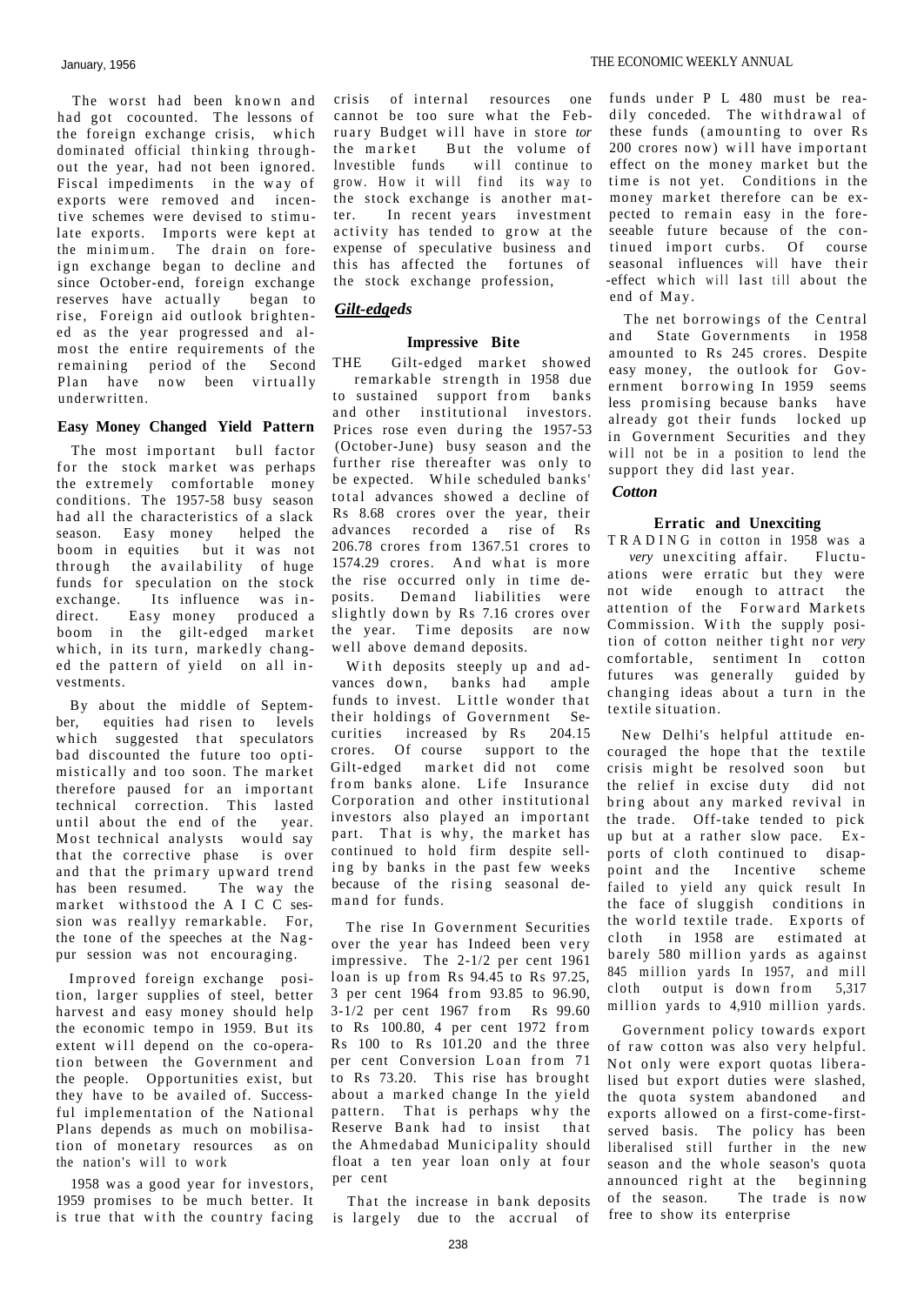The worst had been known and had got cocounted. The lessons of the foreign exchange crisis, which dominated official thinking throughout the year, had not been ignored. Fiscal impediments in the way of exports were removed and incentive schemes were devised to stimu late exports. Imports were kept at the minimum. The drain on foreign exchange began to decline and since October-end, foreign exchange reserves have actually began to rise, Foreign aid outlook brightened as the year progressed and almost the entire requirements of the remaining period of the Second Plan have now been virtually underwritten.

## **Easy Money Changed Yield Pattern**

The most important bull factor for the stock market was perhaps the extremely comfortable money conditions. The 1957-58 busy season had all the characteristics of a slack season. Easy money helped the boom in equities but it was not through the availability of huge funds for speculation on the stock exchange. Its influence was indirect. Easy money produced a boom in the gilt-edged market which, in its turn, markedly changed the pattern of yield on all investments.

By about the middle of September, equities had risen to levels which suggested that speculators bad discounted the future too optimistically and too soon. The market therefore paused for an important technical correction. This lasted until about the end of the year. Most technical analysts would say that the corrective phase is over and that the primary upward trend has been resumed. The way the market withstood the A I C C session was reallyy remarkable. For, the tone of the speeches at the Nagpur session was not encouraging.

Improved foreign exchange position, larger supplies of steel, better harvest and easy money should help the economic tempo in 1959. But its extent will depend on the co-operation between the Government and the people. Opportunities exist, but they have to be availed of. Successful implementation of the National Plans depends as much on mobilisation of monetary resources as on the nation's will to work

1958 was a good year for investors, 1959 promises to be much better. It is true that with the country facing

crisis of internal resources one cannot be too sure what the February Budget will have in store *tor*<br>the market But the volume of But the volume of lnvestible funds will continue to grow. How it will find its way to the stock exchange is another matter. In recent years investment activity has tended to grow at the expense of speculative business and this has affected the fortunes of the stock exchange profession,

# *Gilt-edgeds*

# **Impressive Bite**

THE Gilt-edged market showed remarkable strength in 1958 due to sustained support from banks and other institutional investors. Prices rose even during the 1957-53 (October-June) busy season and the further rise thereafter was only to be expected. While scheduled banks' total advances showed a decline of Rs 8.68 crores over the year, their advances recorded a rise of Rs 206.78 crores from 1367.51 crores to 1574.29 crores. And what is more the rise occurred only in time deposits. Demand liabilities were slightly down by Rs 7.16 crores over the year. Time deposits are now well above demand deposits.

With deposits steeply up and advances down, banks had ample funds to invest. Little wonder that their holdings of Government Securities increased by Rs 204.15 crores. Of course support to the Gilt-edged market did not come from banks alone. Life Insurance Corporation and other institutional investors also played an important part. That is why, the market has continued to hold firm despite selling by banks in the past few weeks because of the rising seasonal demand for funds.

The rise In Government Securities over the year has Indeed been very impressive. The 2-1/2 per cent 1961 loan is up from Rs 94.45 to Rs 97.25, 3 per cent 1964 from 93.85 to 96.90, 3-1/2 per cent 1967 from Rs 99.60 to  $\text{Rs}$  100.80, 4 per cent 1972 from Rs  $100$  to Rs  $101.20$  and the three per cent Conversion Loan from 71 to Rs 73.20. This rise has brought about a marked change In the yield pattern. That is perhaps why the Reserve Bank had to insist that the Ahmedabad Municipality should float a ten year loan only at four per cent

That the increase in bank deposits is largely due to the accrual of

funds under P L 480 must be readily conceded. The withdrawal of these funds (amounting to over Rs  $200$  crores now) will have important effect on the money market but the time is not yet. Conditions in the money market therefore can be expected to remain easy in the foreseeable future because of the continued import curbs. Of course seasonal influences will have their -effect which will last till about the end of May.

The net borrowings of the Central and State Governments in 1958 amounted to Rs 245 crores. Despite easy money, the outlook for Government borrowing In 1959 seems less promising because banks have already got their funds locked up in Government Securities and they will not be in a position to lend the support they did last year.

# *Cotton*

# **Erratic and Unexciting**

TRADING in cotton in 1958 was a *very* unexciting affair. Fluctuations were erratic but they were not wide enough to attract the attention of the Forward Markets Commission. With the supply position of cotton neither tight nor very comfortable, sentiment In cotton futures was generally guided by changing ideas about a turn in the textile situation.

New Delhi's helpful attitude encouraged the hope that the textile crisis might be resolved soon but the relief in excise duty did not bring about any marked revival in the trade. Off-take tended to pick up but at a rather slow pace. Exports of cloth continued to disappoint and the Incentive scheme failed to yield any quick result In the face of sluggish conditions in the world textile trade. Exports of cloth in 1958 are estimated at barely 580 million yards as against 845 million yards In 1957, and mill cloth output is down from  $5,317$ million yards to 4,910 million yards.

Government policy towards export of raw cotton was also very helpful. Not only were export quotas liberalised but export duties were slashed, the quota system abandoned and exports allowed on a first-come-firstserved basis. The policy has been liberalised still further in the new season and the whole season's quota announced right at the beginning of the season. The trade is now free to show its enterprise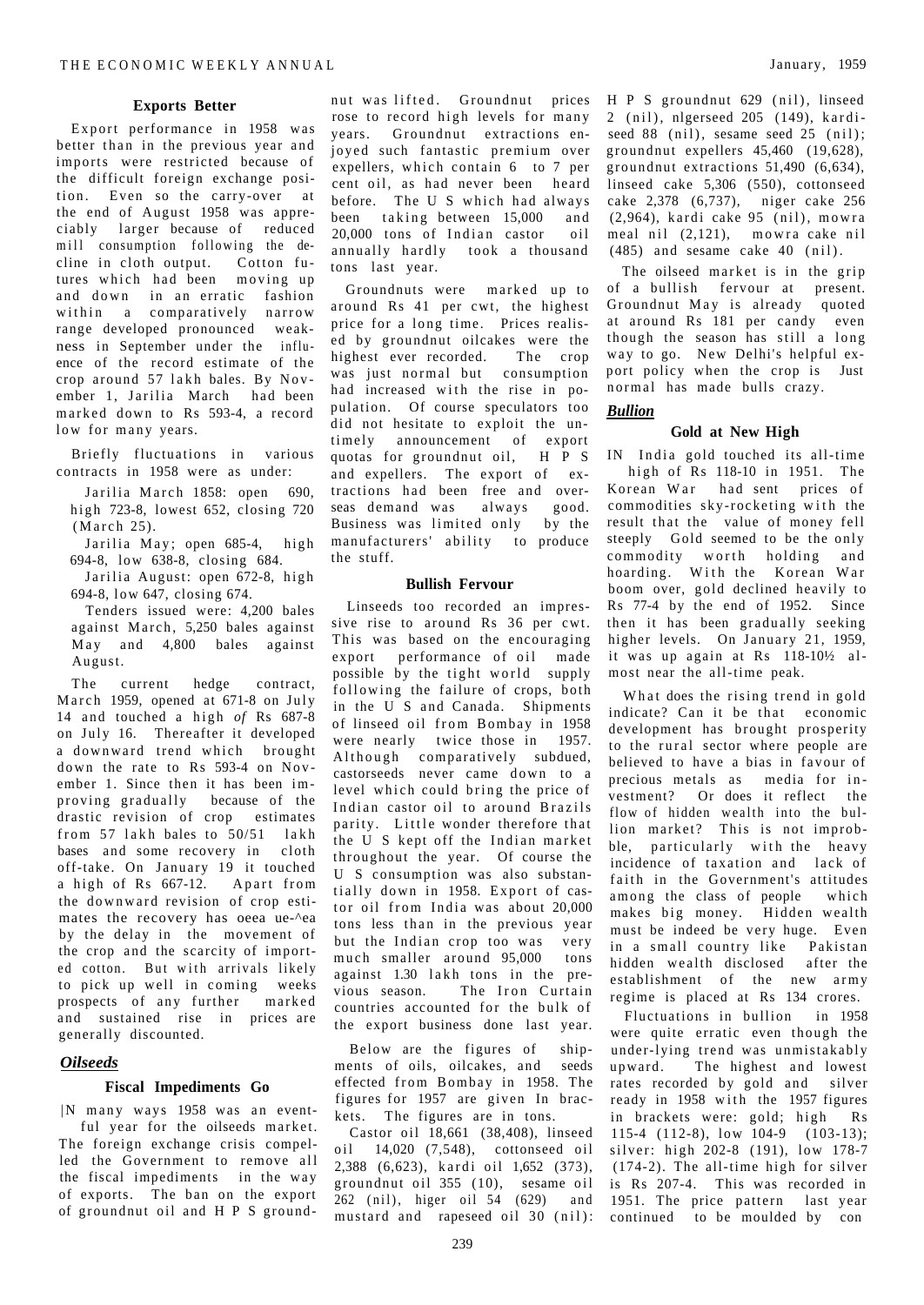#### **Exports Better**

Export performance in 1958 was better than in the previous year and imports were restricted because of the difficult foreign exchange position. Even so the carry-over at the end of August 1958 was appreciably larger because of reduced mill consumption following the decline in cloth output. Cotton futures which had been moving up and down in an erratic fashion within a comparatively narrow range developed pronounced weakness in September under the influence of the record estimate of the crop around  $57$  lakh bales. By November 1, Jarilia March had been marked down to Rs 593-4, a record low for many years.

Briefly fluctuations in various contracts in 1958 were as under:

Jarilia March 1858: open 690, high 723-8, lowest 652, closing 720  $(March 25)$ .

- Jarilia May; open 685-4, high 694-8, low 638-8, closing 684.
- Jarilia August: open 672-8, high 694-8, low 647, closing 674.

Tenders issued were: 4,200 bales against March, 5,250 bales against  $May$  and  $4,800$  bales against August.

The current hedge contract, March 1959, opened at  $671-8$  on July 14 and touched a high of Rs 687-8 on July 16. Thereafter it developed a downward trend which brought down the rate to Rs 593-4 on November 1. Since then it has been improving gradually because of the drastic revision of crop estimates from 57 lakh bales to  $50/51$  lakh bases and some recovery in cloth off-take. On January 19 it touched a high of Rs 667-12. Apart from the downward revision of crop estimates the recovery has oeea ue-^ea by the delay in the movement of the crop and the scarcity of imported cotton. But with arrivals likely to pick up well in coming weeks prospects of any further marked and sustained rise in prices are generally discounted.

# *Oilseeds*

#### **Fiscal Impediments Go**

| N many ways 1958 was an eventful year for the oilseeds market. The foreign exchange crisis compelled the Government to remove all the fiscal impediments in the way of exports. The ban on the export of groundnut oil and H P S ground-

nut was lifted. Groundnut prices rose to record high levels for many years. Groundnut extractions enjoyed such fantastic premium over expellers, which contain  $6$  to  $7$  per cent oil, as had never been heard before. The U S which had always been taking between 15,000 and 20,000 tons of Indian castor oil annually hardly took a thousand tons last year.

Groundnuts were marked up to around Rs 41 per cwt, the highest price for a long time. Prices realised by groundnut oilcakes were the highest ever recorded. The crop was just normal but consumption had increased with the rise in population. Of course speculators too did not hesitate to exploit the untimely announcement of export quotas for groundnut oil, H P S and expellers. The export of extractions had been free and overseas demand was always good. Business was limited only by the manufacturers' ability to produce the stuff.

#### **Bullish Fervour**

Linseeds too recorded an impressive rise to around Rs 36 per cwt. This was based on the encouraging export performance of oil made possible by the tight world supply following the failure of crops, both in the U S and Canada. Shipments of linseed oil from Bombay in 1958 were nearly twice those in 1957. Although comparatively subdued, castorseeds never came down to a level which could bring the price of Indian castor oil to around Brazils parity. Little wonder therefore that the U S kept off the Indian market throughout the year. Of course the U S consumption was also substantially down in 1958. Export of castor oil from India was about 20,000 tons less than in the previous year but the Indian crop too was very much smaller around 95,000 tons against 1.30 lakh tons in the previous season. The Iron Curtain countries accounted for the bulk of the export business done last year.

Below are the figures of shipments of oils, oilcakes, and seeds effected from Bombay in 1958. The figures for 1957 are given In brackets. The figures are in tons.

Castor oil 18,661 (38,408), linseed oil 14,020 (7,548), cottonseed oil 2.388 (6.623), kardi oil 1.652 (373). groundnut oil 355 (10), sesame oil 262 (nil), higer oil 54 (629) an d mustard and rapeseed oil 30 (nil): continued to be moulded by con

H P S groundnut 629 (nil), linseed 2 (nil), nlgerseed 205 (149), kardiseed 88 (nil), sesame seed 25 (nil); groundnut expellers 45,460 (19,628), groundnut extractions 51,490 (6,634), linseed cake 5,306 (550), cottonseed cake 2,378 (6,737), niger cake 256  $(2.964)$ , kardi cake 95 (nil), mowra meal nil  $(2,121)$ , mowra cake nil  $(485)$  and sesame cake  $40$  (nil).

The oilseed market is in the grip of a bullish fervour at present. Groundnut May is already quoted at around Rs 181 per candy even though the season has still a long way to go. New Delhi's helpful export policy when the crop is Just normal has made bulls crazy.

# *Bullion*

#### **Gold at New High**

IN India gold touched its all-time high of Rs 118-10 in 1951. The Korean War had sent prices of commodities sky-rocketing with the result that the value of money fell steeply Gold seemed to be the only commodity worth holding and hoarding. With the Korean War boom over, gold declined heavily to Rs 77-4 by the end of 1952. Since then it has been gradually seeking higher levels. On January 21, 1959, it was up again at Rs 118-10½ almost near the all-time peak.

What does the rising trend in gold indicate? Can it be that economic development has brought prosperity to the rural sector where people are believed to have a bias in favour of precious metals as media for investment? Or does it reflect the flow of hidden wealth into the bullion market? This is not improbble, particularly with the heavy incidence of taxation and lack of faith in the Government's attitudes among the class of people which makes big money. Hidden wealth must be indeed be very huge. Even in a small country like Pakistan hidden wealth disclosed after the establishment of the new army regime is placed at Rs 134 crores.

Fluctuations in bullion in 1958 were quite erratic even though the under-lying trend was unmistakably upward. The highest and lowest rates recorded by gold and silver ready in 1958 with the 1957 figures in brackets were: gold; high Rs 115-4 (112-8), low 104-9 (103-13); silver: high 202-8 (191), low 178-7  $(174-2)$ . The all-time high for silver is Rs 207-4. This was recorded in 1951. The price pattern last year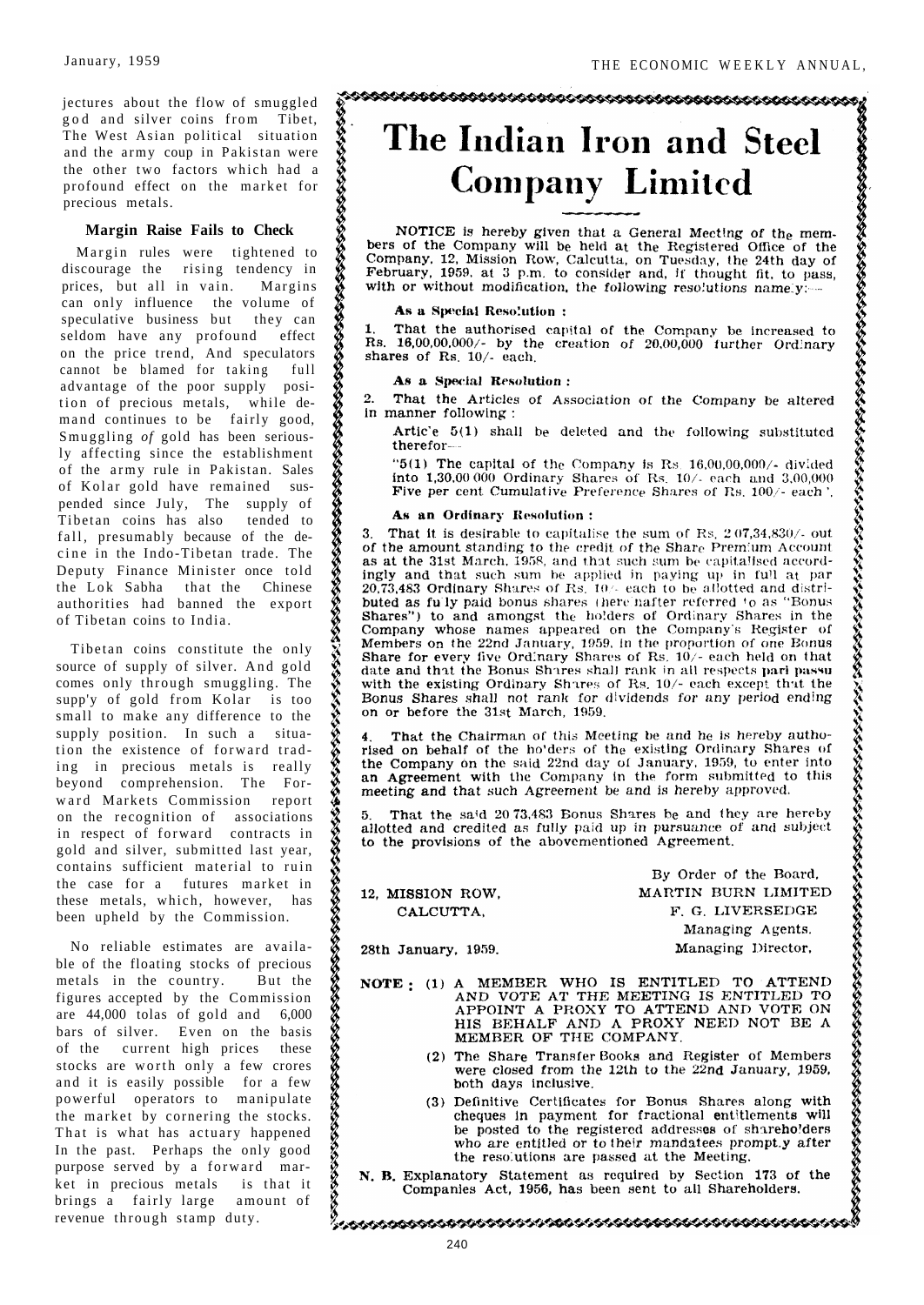jecture s abou t th e flo w o f smuggled g o d an d silve r coin s fro m Tibet, Th e Wes t Asia n politica l situation an d th e arm y cou p i n Pakista n were th e othe r tw o factor s whic h ha d a profoun d effec t o n th e marke t for preciou s metals.

# **Margi n Rais e Fail s t o Check**

Margi n rule s wer e tightene d to discourag e th e risin g tendenc y in prices , bu t al l i n vain . Margins ca n onl y influenc e th e volum e of speculative business but they can seldo m hav e an y profoun d effect o n th e pric e trend , An d speculators canno t b e blame d fo r takin full advantag e o f th e poo r suppl y posi tio n o f preciou s metals , whil e de man d continue s t o b e fairl y good, Smugglin g *of* gol d ha s bee n serious l y affectin g sinc e th e establishment o f th e arm y rul e i n Pakistan . Sales o f Kola r gol d hav e remaine d sus pende d sinc e July , Th e suppl y of Tibeta n coin s ha s als o tende d to fall , presumabl y becaus e o f th e de cin e i n th e Indo-Tibeta n trade . The Deput y Financ e Ministe r onc e told th e Lo k Sabh a tha t th e Chinese authoritie s ha d banne d th e export o f Tibeta n coin s t o India .

Tibeta n coin s constitut e th e only sourc e o f suppl y o f silver . An d gold come s onl y throug h smuggling . The supp' y o f gol d fro m Kola r i s too smal l t o mak e an y differenc e t o the suppl y position . I n suc h a situa tio n th e existenc e o f forwar d trad ing in precious metals is really beyon d comprehension . Th e For war d Market s Commissio n report o n th e recognitio n o f associations i n respec t o f forwar d contract s in gol d an d silver , submitte d las t year, contains sufficient material to ruin th e cas e fo r a future s marke t in thes e metals , which , however , has bee n uphel d b y th e Commission.

N o reliabl e estimate s ar e availa bl e o f th e floatin g stock s o f precious metal s i n th e country . Bu t the figure s accepte d b y th e Commission ar e 44,00 0 tola s o f gol d an d 6,000 bar s o f silver . Eve n o n th e basis o f th e curren t hig h price s these stock s ar e wort h onl y a fe w crores and it is easily possible for a few powerfu l operator s t o manipulate th e marke t b y cornerin g th e stocks. That is what has actuary happened I n th e past . Perhap s th e onl y good purpos e serve d b y a forwar d mar ket in precious metals is that it bring s a fairl y larg e amoun t of revenu e throug h stam p duty.

**ASSESSMENT CONTRACTORS CONTRACTORS CONTRACTORS** 

, prosecuologia processi processi e processi e consecuente de la consecuencia de la consecuencia de la consecuencia de la consecuencia de la consecuencia de la consecuencia de la consecuencia de la consecuencia de la conse

# The Indian Iron and Steel **Company Limited**

NOTICE is hereby given that a General Meeting of the members of the Company will be held at the Registered Office of the Company, 12, Mission Row, Calcutta, on Tuesday, the 24th day of Company, 12, Mission Row, Calcutta, February, 1959, at 3 p.m. to consider and, if thought fit, to pass, with or without modification, the following resolutions namely.

#### As a Special Resolution:

That the authorised capital of the Company be increased to  $\mathbf{1}$ Rs. 16,00,00,000/- by the creation of 20,00,000 further Ordinary shares of Rs. 10/- each.

#### As a Special Resolution:

 $2^{\circ}$ That the Articles of Association of the Company be altered in manner following:

Artic'e 5(1) shall be deleted and the following substituted therefor-

" $5(1)$  The capital of the Company is Rs. 16,00,00,000/- divided into  $1,30,000000$  Ordinary Shares of Rs.  $10/-$  each and  $3,00,000$ Five per cent Cumulative Preference Shares of Rs. 100/- each'.

#### As an Ordinary Resolution:

3. That it is desirable to capitalise the sum of Rs.  $2.07,34,830/$ - out of the amount standing to the credit of the Share Premium Account as at the 31st March, 1958, and that such sum be capitalised accordingly and that such sum be applied in paying up in full at par 20,73,483 Ordinary Shares of Rs. 10/- each to be allotted and distributed as fully paid bonus shares (here nafter referred to as "Bonus Shares") to and amongst the holders of Ordinary Shares in the Company whose names appeared on the Company's Register of Members on the 22nd January, 1959, in the proportion of one Bonus<br>Share for every five Ordinary Shares of Rs. 10/- each held on that date and that the Bonus Shares shall rank in all respects parl passu with the existing Ordinary Shares of Rs. 10/- each except that the Bonus Shares shall not rank for dividends for any period ending on or before the 31st March, 1959.

That the Chairman of this Meeting be and he is hereby autho-Figure 1. That the Chairman of this meeting be that he is helped at the rised on behalf of the ho'ders of the existing Ordinary Shares of the Company on the said 22nd day of January, 1959, to enter into an Agreement with the Company in the form submitted to this meeting and that such Agreement be and is hereby approved.

That the said 20.73.483 Bonus Shares be and they are hereby 5 allotted and credited as fully paid up in pursuance of and subject to the provisions of the abovementioned Agreement.

12. MISSION ROW, CALCUTTA,

By Order of the Board, MARTIN BURN LIMITED F. G. LIVERSEDGE

28th January, 1959.

Managing Agents. Managing Director,

- NOTE: (1) A MEMBER WHO IS ENTITLED TO ATTEND AND VOTE AT THE MEETING IS ENTITLED TO APPOINT A PROXY TO ATTEND AND VOTE ON HIS BEHALF AND A PROXY NEED NOT BE A MEMBER OF THE COMPANY.
	- (2) The Share Transfer Books and Register of Members were closed from the 12th to the 22nd January, 1959. both days inclusive.
	- (3) Definitive Certificates for Bonus Shares along with cheques in payment for fractional entitlements will be posted to the registered addresses of shareholders who are entitled or to their mandatees prompt.y after the resolutions are passed at the Meeting.
- N. B. Explanatory Statement as required by Section 173 of the Companies Act, 1956, has been sent to all Shareholders.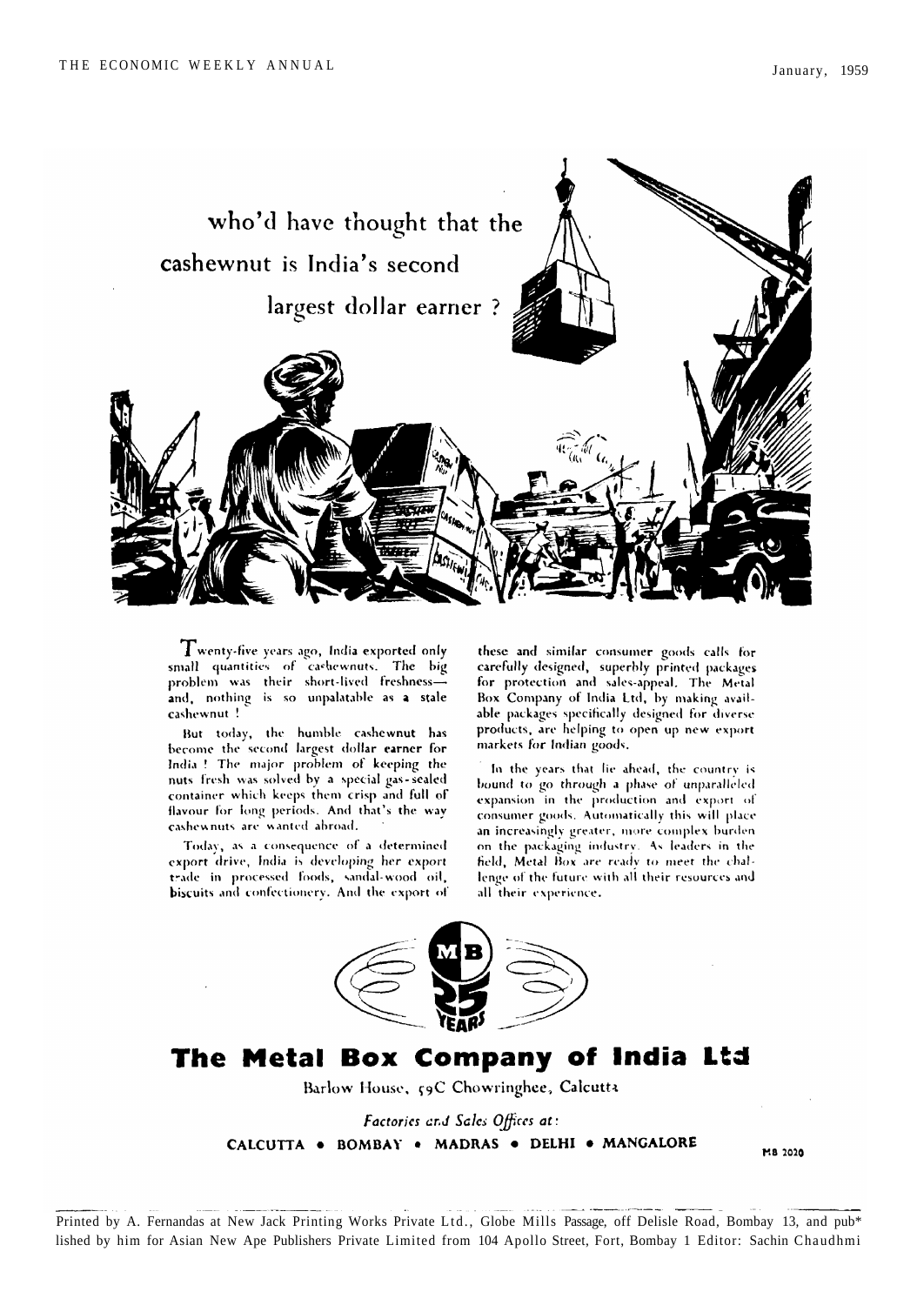

 $\mathbf T$ wenty-five years ago, India exported only small quantities of cashewnuts. The big problem was their short-lived freshnessand, nothing is so unpalatable as a stale cashewnut!

But today, the humble cashewnut has become the second largest dollar earner for India ! The major problem of keeping the nuts fresh was solved by a special gas-sealed container which keeps them crisp and full of flavour for long periods. And that's the way cashewnuts are wanted abroad.

Today, as a consequence of a determined export drive, India is developing her export trade in processed foods, sandal-wood oil, biscuits and confectionery. And the export of

these and similar consumer goods calls for carefully designed, superbly printed packages for protection and sales-appeal. The Metal Box Company of India Ltd, by making available packages specifically designed for diverse<br>products, are helping to open up new export markets for Indian goods.

In the years that lie ahead, the country is bound to go through a phase of unparalleled expansion in the production and export of consumer goods. Automatically this will place an increasingly greater, more complex burden. on the packaging industry. As leaders in the field, Metal Box are ready to meet the challenge of the future with all their resources and all their experience.



# The Metal Box Company of India Ltd

Barlow House, 59C Chowringhee, Calcutta

Factories and Sales Offices at: CALCUTTA . BOMBAY . MADRAS . DELHI . MANGALORE

M8 2020